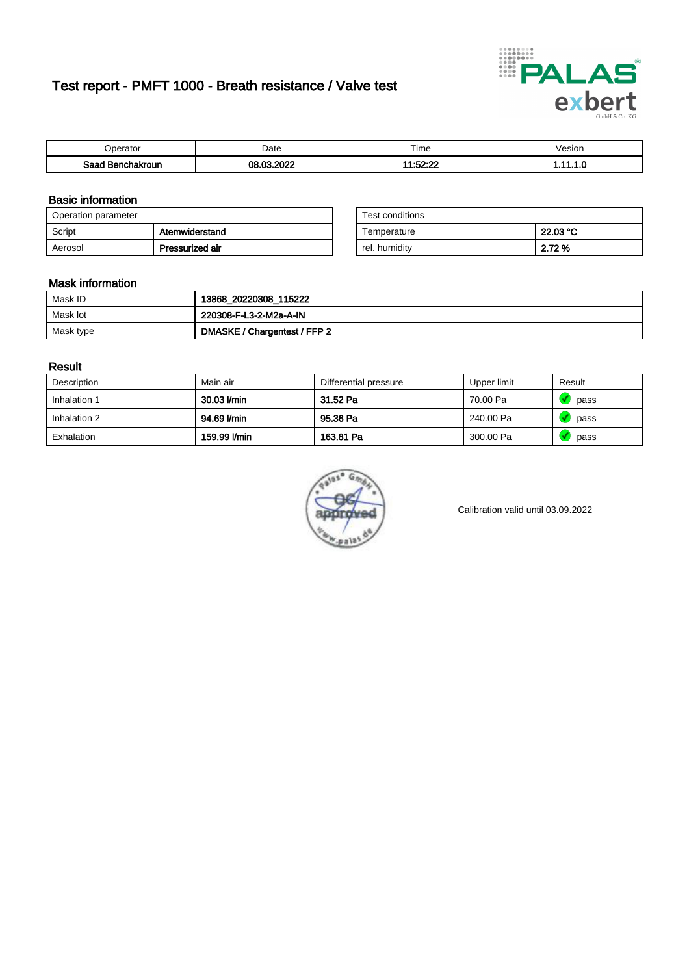# Test report - PMFT 1000 - Breath resistance / Valve test



| <b>'</b> perator                | Date                     | $- \cdot$<br><b>Time</b> | /esion |
|---------------------------------|--------------------------|--------------------------|--------|
| Saad<br><b>nchakroun</b><br>. . | 000<br>$\sim$<br>ne.<br> | 14.50.00<br>،،،،،،،،     | .      |

### Basic information

| Operation parameter |                 | Test conditions |          |
|---------------------|-----------------|-----------------|----------|
| Script              | Atemwiderstand  | Temperature     | 22.03 °C |
| Aerosol             | Pressurized air | rel. humidity   | 2.72 %   |

| Test conditions |          |
|-----------------|----------|
| Temperature     | 22.03 °C |
| rel. humidity   | 2.72 %   |

#### Mask information

| Mask ID   | 13868_20220308_115222        |
|-----------|------------------------------|
| Mask lot  | 220308-F-L3-2-M2a-A-IN       |
| Mask type | DMASKE / Chargentest / FFP 2 |

### Result

| Description  | Main air     | Differential pressure | Upper limit | Result |
|--------------|--------------|-----------------------|-------------|--------|
| Inhalation 1 | 30.03 l/min  | 31.52 Pa              | 70.00 Pa    | pass   |
| Inhalation 2 | 94.69 l/min  | 95.36 Pa              | 240.00 Pa   | pass   |
| Exhalation   | 159.99 l/min | 163.81 Pa             | 300.00 Pa   | pass   |



Calibration valid until 03.09.2022